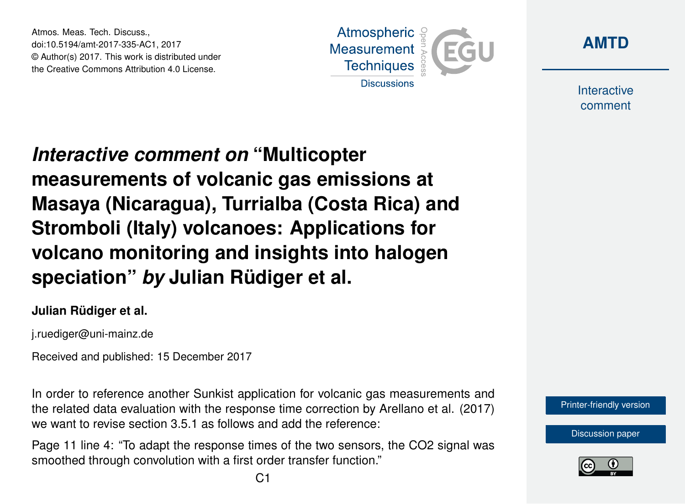Atmos. Meas. Tech. Discuss., doi:10.5194/amt-2017-335-AC1, 2017 © Author(s) 2017. This work is distributed under the Creative Commons Attribution 4.0 License.





Interactive comment

*Interactive comment on* **"Multicopter measurements of volcanic gas emissions at Masaya (Nicaragua), Turrialba (Costa Rica) and Stromboli (Italy) volcanoes: Applications for volcano monitoring and insights into halogen speciation"** *by* **Julian Rüdiger et al.**

## **Julian Rüdiger et al.**

j.ruediger@uni-mainz.de

Received and published: 15 December 2017

In order to reference another Sunkist application for volcanic gas measurements and the related data evaluation with the response time correction by Arellano et al. (2017) we want to revise section 3.5.1 as follows and add the reference:

Page 11 line 4: "To adapt the response times of the two sensors, the CO2 signal was smoothed through convolution with a first order transfer function."



[Discussion paper](https://www.atmos-meas-tech-discuss.net/amt-2017-335)

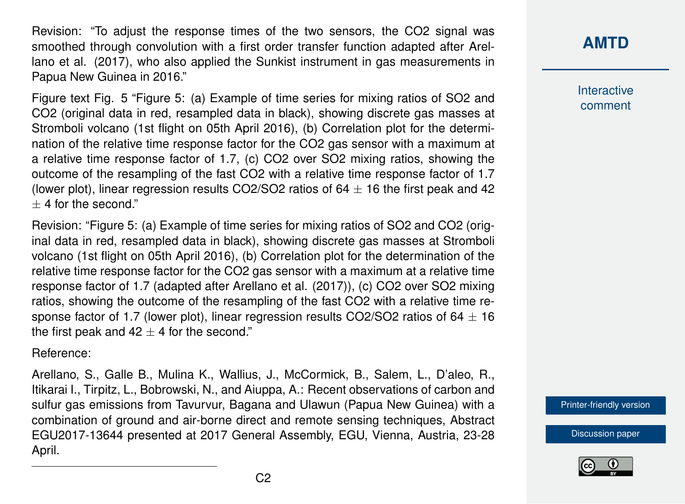Revision: "To adjust the response times of the two sensors, the CO2 signal was smoothed through convolution with a first order transfer function adapted after Arellano et al. (2017), who also applied the Sunkist instrument in gas measurements in Papua New Guinea in 2016."

Figure text Fig. 5 "Figure 5: (a) Example of time series for mixing ratios of SO2 and CO2 (original data in red, resampled data in black), showing discrete gas masses at Stromboli volcano (1st flight on 05th April 2016), (b) Correlation plot for the determination of the relative time response factor for the CO2 gas sensor with a maximum at a relative time response factor of 1.7, (c) CO2 over SO2 mixing ratios, showing the outcome of the resampling of the fast CO2 with a relative time response factor of 1.7 (lower plot), linear regression results CO2/SO2 ratios of  $64 \pm 16$  the first peak and 42  $±$  4 for the second."

Revision: "Figure 5: (a) Example of time series for mixing ratios of SO2 and CO2 (original data in red, resampled data in black), showing discrete gas masses at Stromboli volcano (1st flight on 05th April 2016), (b) Correlation plot for the determination of the relative time response factor for the CO2 gas sensor with a maximum at a relative time response factor of 1.7 (adapted after Arellano et al. (2017)), (c) CO2 over SO2 mixing ratios, showing the outcome of the resampling of the fast CO2 with a relative time response factor of 1.7 (lower plot), linear regression results CO2/SO2 ratios of 64  $\pm$  16 the first peak and  $42 \pm 4$  for the second."

Reference:

Arellano, S., Galle B., Mulina K., Wallius, J., McCormick, B., Salem, L., D'aleo, R., Itikarai I., Tirpitz, L., Bobrowski, N., and Aiuppa, A.: Recent observations of carbon and sulfur gas emissions from Tavurvur, Bagana and Ulawun (Papua New Guinea) with a combination of ground and air-borne direct and remote sensing techniques, Abstract EGU2017-13644 presented at 2017 General Assembly, EGU, Vienna, Austria, 23-28 April.

## **[AMTD](https://www.atmos-meas-tech-discuss.net/)**

Interactive comment

[Printer-friendly version](https://www.atmos-meas-tech-discuss.net/amt-2017-335/amt-2017-335-AC1-print.pdf)

[Discussion paper](https://www.atmos-meas-tech-discuss.net/amt-2017-335)